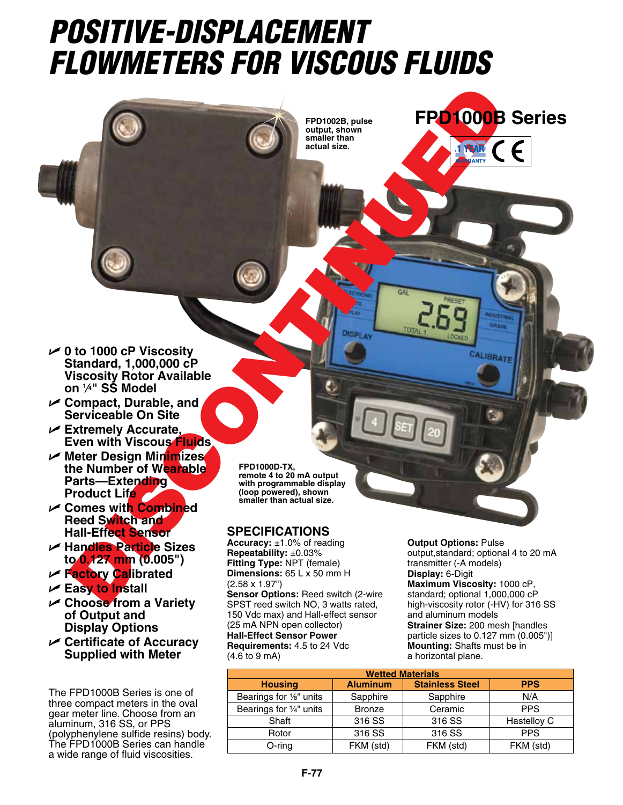## *POSITIVE-DISPLACEMENT FLOWMETERS FOR VISCOUS FLUIDS*

**FPD1002B, pulse output, shown smaller than actual size.**



- U **Compact, Durable, and Serviceable On Site**
- U **Extremely Accurate, Even with Viscous Fluids**
- U **Meter Design Minimizes the Number of Wearable Parts—Extending Product Life**
- U **Comes with Combined Reed Switch and Hall-Effect Sensor**
- U **Handles Particle Sizes to 0.127 mm (0.005")**
- U **Factory Calibrated**
- U **Easy to Install**
- U **Choose from a Variety of Output and Display Options**
- U **Certificate of Accuracy Supplied with Meter**

The FPD1000B Series is one of three compact meters in the oval gear meter line. Choose from an aluminum, 316 SS, or PPS (polyphenylene sulfide resins) body. The FPD1000B Series can handle a wide range of fluid viscosities.

**FPD1000D-TX, remote 4 to 20 mA output with programmable display (loop powered), shown smaller than actual size.**

## **Specifications**

Product Life<br>
and School of Missourity<br>
Standard, 1,000,000 cP<br>
Standard, 1,000,000 cP<br>
Standard, 1,000,000 cP<br>
Discontinued Accuration<br>
Discontinued Accuration<br>
Discontinued Accuration<br>
Conduct Life<br>
Centre Discontinued B **Accuracy:** ±1.0% of reading **Repeatability:** ±0.03% **Fitting Type:** NPT (female) **Dimensions:** 65 L x 50 mm H (2.58 x 1.97") **Sensor Options:** Reed switch (2-wire SPST reed switch NO, 3 watts rated, 150 Vdc max) and Hall-effect sensor (25 mA NPN open collector) **Hall-Effect Sensor Power Requirements:** 4.5 to 24 Vdc (4.6 to 9 mA)

**Output Options:** Pulse output,standard; optional 4 to 20 mA transmitter (-A models) **Display:** 6-Digit **Maximum Viscosity:** 1000 cP, standard; optional 1,000,000 cP high-viscosity rotor (-HV) for 316 SS and aluminum models **Strainer Size:** 200 mesh [handles particle sizes to 0.127 mm (0.005")] **Mounting:** Shafts must be in a horizontal plane.

**FPD1000B Series**

| <b>Wetted Materials</b> |                 |                        |             |  |  |  |  |
|-------------------------|-----------------|------------------------|-------------|--|--|--|--|
| <b>Housing</b>          | <b>Aluminum</b> | <b>Stainless Steel</b> | <b>PPS</b>  |  |  |  |  |
| Bearings for 1/8" units | Sapphire        | Sapphire               | N/A         |  |  |  |  |
| Bearings for 1/4" units | <b>Bronze</b>   | Ceramic                | <b>PPS</b>  |  |  |  |  |
| Shaft                   | 316 SS          | 316 SS                 | Hastelloy C |  |  |  |  |
| Rotor                   | 316 SS          | 316 SS                 | <b>PPS</b>  |  |  |  |  |
| O-ring                  | FKM (std)       | FKM (std)              | FKM (std)   |  |  |  |  |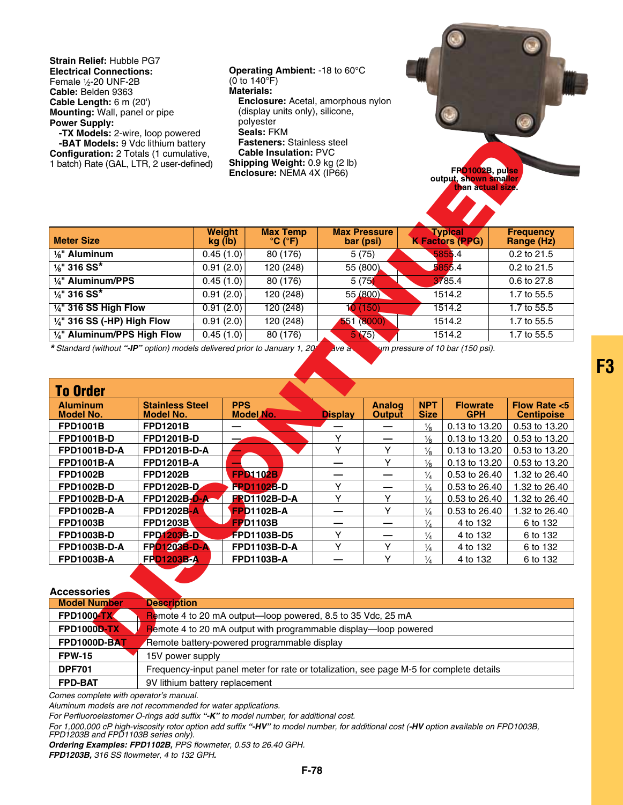**Strain Relief:** Hubble PG7 **Electrical Connections:** Female 1/2-20 UNF-2B **Cable:** Belden 9363 **Cable Length:** 6 m (20') **Mounting:** Wall, panel or pipe **Power Supply:**

**-TX Models:** 2-wire, loop powered **-BAT Models:** 9 Vdc lithium battery **Configuration:** 2 Totals (1 cumulative, 1 batch) Rate (GAL, LTR, 2 user-defined) **Operating Ambient:** -18 to 60°C (0 to 140°F) **Materials: Enclosure:** Acetal, amorphous nylon (display units only), silicone, polyester **Seals:** FKM **Fasteners:** Stainless steel **Cable Insulation:** PVC **Shipping Weight:** 0.9 kg (2 lb)

| FPO1002B, pulse<br>output, shown smaller<br>than actual size. |  |
|---------------------------------------------------------------|--|

| <b>Meter Size</b>                      | <b>Weight</b><br>kg (lb) | <b>Max Temp</b><br>$^{\circ}$ C ( $^{\circ}$ F) | <b>Max Pressure</b><br>bar (psi) | <b>Typical</b><br><b>K Factors (PPG)</b> | <b>Frequency</b><br>Range (Hz) |
|----------------------------------------|--------------------------|-------------------------------------------------|----------------------------------|------------------------------------------|--------------------------------|
| $\frac{1}{8}$ " Aluminum               | 0.45(1.0)                | 80 (176)                                        | 5(75)                            | 5855.4                                   | 0.2 to 21.5                    |
| $\frac{1}{8}$ " 316 SS*                | 0.91(2.0)                | 120 (248)                                       | 55 (800)                         | 5855.4                                   | $0.2$ to 21.5                  |
| 1/4" Aluminum/PPS                      | 0.45(1.0)                | 80 (176)                                        | 5(75)                            | 3785.4                                   | 0.6 to 27.8                    |
| $\frac{1}{4}$ " 316 SS*                | 0.91(2.0)                | 120 (248)                                       | 55 (800)                         | 1514.2                                   | 1.7 to 55.5                    |
| $\frac{1}{4}$ " 316 SS High Flow       | 0.91(2.0)                | 120 (248)                                       | 10(150)                          | 1514.2                                   | 1.7 to 55.5                    |
| $\frac{1}{4}$ " 316 SS (-HP) High Flow | 0.91(2.0)                | 120 (248)                                       | 551 (8000)                       | 1514.2                                   | 1.7 to 55.5                    |
| $1/4$ " Aluminum/PPS High Flow         | 0.45(1.0)                | 80 (176)                                        | 5(75)                            | 1514.2                                   | 1.7 to 55.5                    |
|                                        |                          |                                                 |                                  |                                          |                                |

| <b>-IA MOUSE.</b> Z-WILE, IOOD DOWELED<br>-BAT Models: 9 Vdc lithium battery<br>Configuration: 2 Totals (1 cumulative,<br>1 batch) Rate (GAL, LTR, 2 user-defined) |                                            |                          |            | ויורו ופוסטט<br><b>Fasteners: Stainless steel</b><br><b>Cable Insulation: PVC</b><br>Shipping Weight: 0.9 kg (2 lb)<br>Enclosure: NEMA 4X (IP66) |                |                                  |                           | FP01002B, pulse<br>output, shown smaller<br>than actual size. |                                      |
|--------------------------------------------------------------------------------------------------------------------------------------------------------------------|--------------------------------------------|--------------------------|------------|--------------------------------------------------------------------------------------------------------------------------------------------------|----------------|----------------------------------|---------------------------|---------------------------------------------------------------|--------------------------------------|
| <b>Meter Size</b>                                                                                                                                                  |                                            | <b>Weight</b><br>kg (lb) |            | <b>Max Temp</b><br>$^{\circ}$ C ( $^{\circ}$ F)                                                                                                  |                | <b>Max Pressure</b><br>bar (psi) |                           | <b>Typical</b><br><b>K Factors (PPG)</b>                      | <b>Frequency</b><br>Range (Hz)       |
| $\frac{1}{8}$ " Aluminum                                                                                                                                           |                                            |                          |            | 80(176)                                                                                                                                          |                | 5(75)                            |                           | 5855.4                                                        | 0.2 to 21.5                          |
| $\frac{1}{8}$ " 316 SS*                                                                                                                                            |                                            | 0.45(1.0)<br>0.91(2.0)   |            | 120 (248)                                                                                                                                        | 55 (800)       |                                  | 5855.4                    |                                                               | 0.2 to 21.5                          |
| 1/4" Aluminum/PPS                                                                                                                                                  |                                            |                          | 0.45(1.0)  | 80(176)                                                                                                                                          |                |                                  | 3785.4                    |                                                               | $0.6$ to 27.8                        |
| $\frac{1}{4}$ " 316 SS*                                                                                                                                            |                                            | 0.91(2.0)                |            | 120 (248)                                                                                                                                        |                | 5(75)<br>55 (800)                |                           |                                                               | 1.7 to 55.5                          |
|                                                                                                                                                                    |                                            |                          |            |                                                                                                                                                  |                |                                  | 1514.2<br>1514.2          |                                                               |                                      |
| $\frac{1}{4}$ " 316 SS High Flow                                                                                                                                   |                                            | 0.91(2.0)                |            | 120(248)                                                                                                                                         |                | 10(150)                          |                           |                                                               | 1.7 to 55.5                          |
| 1/4" 316 SS (-HP) High Flow                                                                                                                                        |                                            | 0.91(2.0)                |            | 120(248)                                                                                                                                         |                | 551 (8000)                       |                           | 1514.2                                                        | 1.7 to 55.5                          |
| 1/4" Aluminum/PPS High Flow<br>* Standard (without "-IP" option) models delivered prior to January 1, 20                                                           |                                            | 0.45(1.0)                |            | 80(176)                                                                                                                                          | ive a          | 5(75)                            |                           | 1514.2<br>um pressure of 10 bar (150 psi).                    | 1.7 to 55.5                          |
|                                                                                                                                                                    |                                            |                          |            |                                                                                                                                                  |                |                                  |                           |                                                               |                                      |
|                                                                                                                                                                    |                                            |                          |            |                                                                                                                                                  |                |                                  |                           |                                                               |                                      |
| <b>To Order</b>                                                                                                                                                    |                                            |                          |            |                                                                                                                                                  |                |                                  |                           |                                                               |                                      |
| <b>Aluminum</b><br><b>Model No.</b>                                                                                                                                | <b>Stainless Steel</b><br><b>Model No.</b> |                          | <b>PPS</b> | Model No.                                                                                                                                        | <b>Display</b> | <b>Analog</b><br><b>Output</b>   | <b>NPT</b><br><b>Size</b> | <b>Flowrate</b><br><b>GPH</b>                                 | Flow Rate $< 5$<br><b>Centipoise</b> |
| <b>FPD1001B</b>                                                                                                                                                    | <b>FPD1201B</b>                            |                          |            |                                                                                                                                                  |                |                                  | $\frac{1}{8}$             | 0.13 to 13.20                                                 | 0.53 to 13.20                        |
| FPD1001B-D                                                                                                                                                         | FPD1201B-D                                 |                          |            |                                                                                                                                                  | Y              |                                  | $\frac{1}{8}$             | 0.13 to 13.20                                                 | 0.53 to 13.20                        |
| FPD1001B-D-A                                                                                                                                                       | FPD1201B-D-A                               |                          |            |                                                                                                                                                  | Y              | Y                                | $\frac{1}{8}$             | 0.13 to 13.20                                                 | 0.53 to 13.20                        |
| FPD1001B-A                                                                                                                                                         | <b>FPD1201B-A</b>                          |                          |            |                                                                                                                                                  |                | Y                                | $\frac{1}{8}$             | 0.13 to 13.20                                                 | 0.53 to 13.20                        |
| <b>FPD1002B</b>                                                                                                                                                    | <b>FPD1202B</b>                            |                          |            | <b>FPD1102B</b>                                                                                                                                  |                |                                  | $\frac{1}{4}$             | 0.53 to 26.40                                                 | 1.32 to 26.40                        |
| FPD1002B-D                                                                                                                                                         | FPD1202B-D                                 |                          |            | <b>FPD1102B-D</b>                                                                                                                                | Y              |                                  | $\frac{1}{4}$             | 0.53 to 26.40                                                 | 1.32 to 26.40                        |
| FPD1002B-D-A                                                                                                                                                       | FPD1202B-D-A-                              |                          |            | <b>FRD1102B-D-A</b>                                                                                                                              | Υ              | Υ                                | $\frac{1}{4}$             | 0.53 to 26.40                                                 | 1.32 to 26.40                        |
| FPD1002B-A                                                                                                                                                         | <b>FPD1202B-A</b>                          |                          |            | <b>FPD1102B-A</b>                                                                                                                                |                | Y                                | $\frac{1}{4}$             | 0.53 to 26.40                                                 | 1.32 to 26.40                        |
| <b>FPD1003B</b>                                                                                                                                                    | <b>FPD1203B</b>                            |                          |            | <b>FP</b> D1103B                                                                                                                                 |                |                                  | $\frac{1}{4}$             | 4 to 132                                                      | 6 to 132                             |
| FPD1003B-D                                                                                                                                                         | <b>FPD1203B-D</b>                          |                          |            | FPD1103B-D5                                                                                                                                      | Y              | —                                | $\frac{1}{4}$             | 4 to 132                                                      | 6 to 132                             |
| FPD1003B-D-A                                                                                                                                                       | FP01203B-D-A                               |                          |            | FPD1103B-D-A                                                                                                                                     | Y              | Υ                                | $\frac{1}{4}$             | 4 to 132                                                      | 6 to 132                             |
| FPD1003B-A                                                                                                                                                         | <b>FPD1203B-A</b>                          |                          |            | FPD1103B-A                                                                                                                                       |                | Y                                | $\frac{1}{4}$             | 4 to 132                                                      | 6 to 132                             |
| <b>Accessories</b>                                                                                                                                                 |                                            |                          |            |                                                                                                                                                  |                |                                  |                           |                                                               |                                      |
| <b>Model Number</b>                                                                                                                                                | <b>Description</b>                         |                          |            |                                                                                                                                                  |                |                                  |                           |                                                               |                                      |
| <b>FPD10004TX</b>                                                                                                                                                  |                                            |                          |            | Remote 4 to 20 mA output-loop powered, 8.5 to 35 Vdc, 25 mA                                                                                      |                |                                  |                           |                                                               |                                      |
| <b>FPD1000D-TX</b>                                                                                                                                                 |                                            |                          |            | Remote 4 to 20 mA output with programmable display-loop powered                                                                                  |                |                                  |                           |                                                               |                                      |
| FPD1000D-BAT                                                                                                                                                       |                                            |                          |            | Remote battery-powered programmable display                                                                                                      |                |                                  |                           |                                                               |                                      |

**Accessories Model Number Description FPD1000-TX** Remote 4 to 20 mA output—loop powered, 8.5 to 35 Vdc, 25 mA **FPD1000D-TX** Remote 4 to 20 mA output with programmable display—loop powered **FPD1000D-BAT** Remote battery-powered programmable display **FPW-15** 15V power supply **DPF701** Frequency-input panel meter for rate or totalization, see page M-5 for complete details **FPD-BAT** 9V lithium battery replacement

*Comes complete with operator's manual.*

*Aluminum models are not recommended for water applications.*

*For Perfluoroelastomer O-rings add suffix "-K" to model number, for additional cost.*

*For 1,000,000 cP high-viscosity rotor option add suffix "-HV" to model number, for additional cost (-HV option available on FPD1003B, FPD1203B and FPD1103B series only).*

*Ordering Examples: FPD1102B, PPS flowmeter, 0.53 to 26.40 GPH.*

*FPD1203B, 316 SS flowmeter, 4 to 132 GPH.*